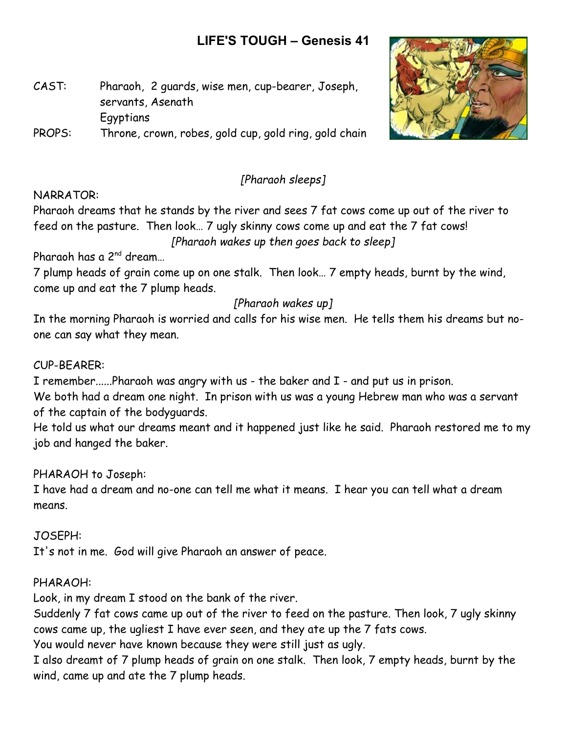# **LIFE'S TOUGH – Genesis 41**

- CAST: Pharaoh, 2 guards, wise men, cup-bearer, Joseph, servants, Asenath **Egyptians**
- PROPS: Throne, crown, robes, gold cup, gold ring, gold chain



## *[Pharaoh sleeps]*

#### NARRATOR:

Pharaoh dreams that he stands by the river and sees 7 fat cows come up out of the river to feed on the pasture. Then look… 7 ugly skinny cows come up and eat the 7 fat cows! *[Pharaoh wakes up then goes back to sleep]*

Pharaoh has a 2nd dream…

7 plump heads of grain come up on one stalk. Then look… 7 empty heads, burnt by the wind, come up and eat the 7 plump heads.

## *[Pharaoh wakes up]*

In the morning Pharaoh is worried and calls for his wise men. He tells them his dreams but noone can say what they mean.

#### CUP-BEARER:

I remember......Pharaoh was angry with us - the baker and I - and put us in prison.

We both had a dream one night. In prison with us was a young Hebrew man who was a servant of the captain of the bodyguards.

He told us what our dreams meant and it happened just like he said. Pharaoh restored me to my job and hanged the baker.

#### PHARAOH to Joseph:

I have had a dream and no-one can tell me what it means. I hear you can tell what a dream means.

#### JOSEPH:

It's not in me. God will give Pharaoh an answer of peace.

#### PHARAOH:

Look, in my dream I stood on the bank of the river.

Suddenly 7 fat cows came up out of the river to feed on the pasture. Then look, 7 ugly skinny cows came up, the ugliest I have ever seen, and they ate up the 7 fats cows.

You would never have known because they were still just as ugly.

I also dreamt of 7 plump heads of grain on one stalk. Then look, 7 empty heads, burnt by the wind, came up and ate the 7 plump heads.